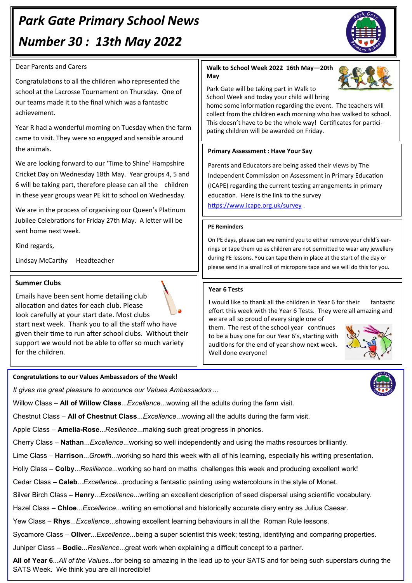# *Park Gate Primary School News Number 30 : 13th May 2022*

### Dear Parents and Carers

Congratulations to all the children who represented the school at the Lacrosse Tournament on Thursday. One of our teams made it to the final which was a fantastic achievement.

Year R had a wonderful morning on Tuesday when the farm came to visit. They were so engaged and sensible around the animals.

We are looking forward to our 'Time to Shine' Hampshire Cricket Day on Wednesday 18th May. Year groups 4, 5 and 6 will be taking part, therefore please can all the children in these year groups wear PE kit to school on Wednesday.

We are in the process of organising our Queen's Platinum Jubilee Celebrations for Friday 27th May. A letter will be sent home next week.

Kind regards,

Lindsay McCarthy Headteacher

### **Summer Clubs**

Emails have been sent home detailing club allocation and dates for each club. Please look carefully at your start date. Most clubs start next week. Thank you to all the staff who have given their time to run after school clubs. Without their support we would not be able to offer so much variety for the children.

# **Congratulations to our Values Ambassadors of the Week!**

*It gives me great pleasure to announce our Values Ambassadors…*

Willow Class – **All of Willow Class**...*Excellence*...wowing all the adults during the farm visit.

Chestnut Class – **All of Chestnut Class**...*Excellence*...wowing all the adults during the farm visit.

Apple Class – **Amelia-Rose**...*Resilience*...making such great progress in phonics.

Cherry Class – **Nathan**...*Excellence*...working so well independently and using the maths resources brilliantly.

Lime Class – **Harrison**...*Growth*...working so hard this week with all of his learning, especially his writing presentation.

Holly Class – **Colby**...*Resilience*...working so hard on maths challenges this week and producing excellent work!

Cedar Class – **Caleb**...*Excellence*...producing a fantastic painting using watercolours in the style of Monet.

Silver Birch Class – **Henry**...*Excellence*...writing an excellent description of seed dispersal using scientific vocabulary.

Hazel Class *–* **Chloe**...*Excellence*...writing an emotional and historically accurate diary entry as Julius Caesar.

Yew Class – **Rhys**...*Excellence*...showing excellent learning behaviours in all the Roman Rule lessons.

Sycamore Class – **Oliver**...*Excellence*...being a super scientist this week; testing, identifying and comparing properties.

Juniper Class – **Bodie**...*Resilience*...great work when explaining a difficult concept to a partner.

**All of Year 6**...*All of the Values*...for being so amazing in the lead up to your SATS and for being such superstars during the SATS Week. We think you are all incredible!

## **Walk to School Week 2022 16th May—20th May**

Park Gate will be taking part in Walk to School Week and today your child will bring

home some information regarding the event. The teachers will collect from the children each morning who has walked to school. This doesn't have to be the whole way! Certificates for participating children will be awarded on Friday.

# **Primary Assessment : Have Your Say**

Parents and Educators are being asked their views by The Independent Commission on Assessment in Primary Education (ICAPE) regarding the current testing arrangements in primary education. Here is the link to the survey <https://www.icape.org.uk/survey> .

#### **PE Reminders**

On PE days, please can we remind you to either remove your child's earrings or tape them up as children are not permitted to wear any jewellery during PE lessons. You can tape them in place at the start of the day or please send in a small roll of micropore tape and we will do this for you.

#### **Year 6 Tests**

I would like to thank all the children in Year 6 for their fantastic effort this week with the Year 6 Tests. They were all amazing and we are all so proud of every single one of

them. The rest of the school year continues to be a busy one for our Year 6's, starting with auditions for the end of year show next week. Well done everyone!